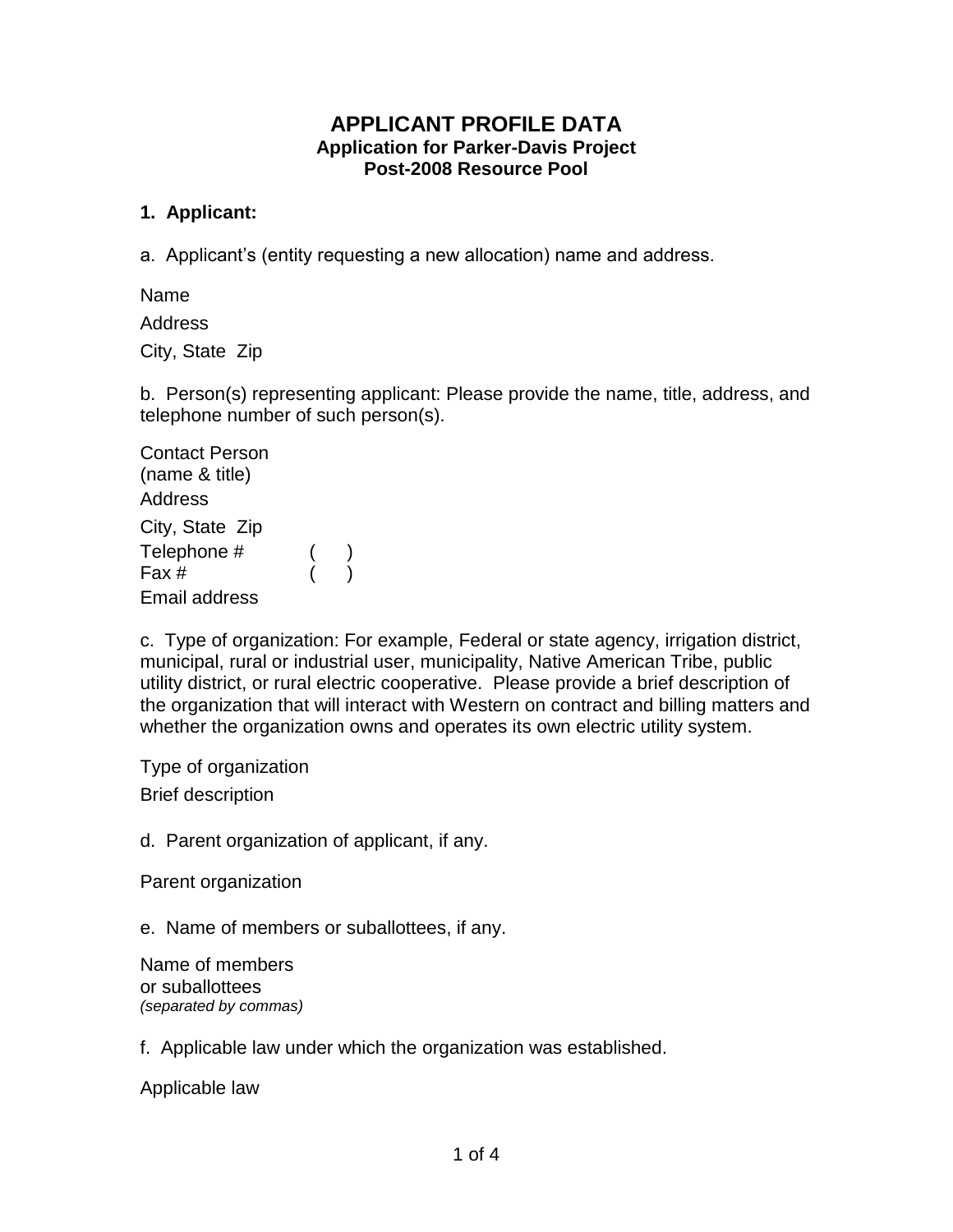# **APPLICANT PROFILE DATA Application for Parker-Davis Project Post-2008 Resource Pool**

### **1. Applicant:**

a. Applicant's (entity requesting a new allocation) name and address.

Name

Address

City, State Zip

b. Person(s) representing applicant: Please provide the name, title, address, and telephone number of such person(s).

Contact Person (name & title) Address City, State Zip Telephone # Fax # ( ) ( ) Email address

c. Type of organization: For example, Federal or state agency, irrigation district, municipal, rural or industrial user, municipality, Native American Tribe, public utility district, or rural electric cooperative. Please provide a brief description of the organization that will interact with Western on contract and billing matters and whether the organization owns and operates its own electric utility system.

Type of organization Brief description

d. Parent organization of applicant, if any.

Parent organization

e. Name of members or suballottees, if any.

Name of members or suballottees *(separated by commas)*

f. Applicable law under which the organization was established.

Applicable law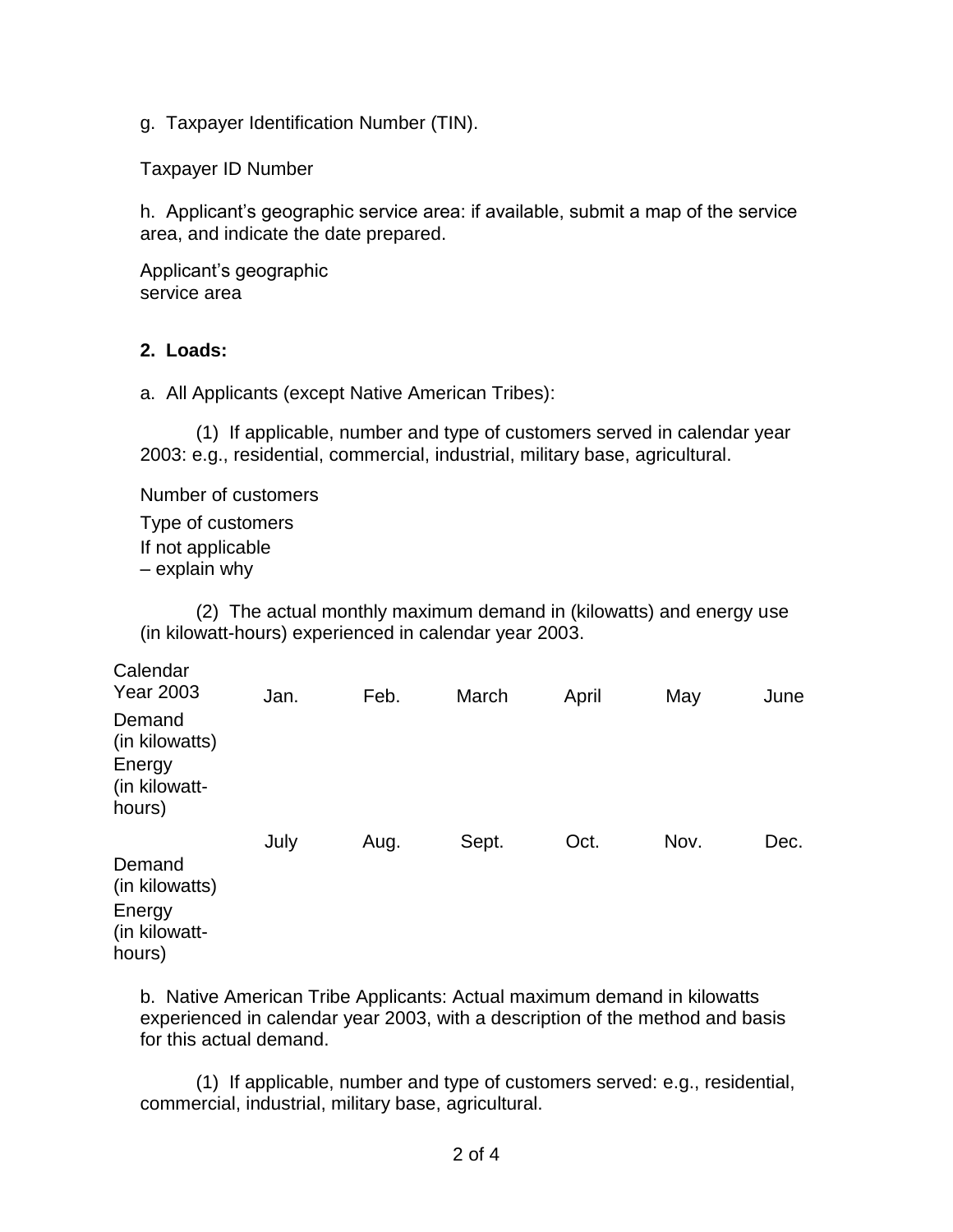g. Taxpayer Identification Number (TIN).

Taxpayer ID Number

h. Applicant's geographic service area: if available, submit a map of the service area, and indicate the date prepared.

Applicant's geographic service area

### **2. Loads:**

a. All Applicants (except Native American Tribes):

(1) If applicable, number and type of customers served in calendar year 2003: e.g., residential, commercial, industrial, military base, agricultural.

Number of customers

Type of customers If not applicable – explain why

(2) The actual monthly maximum demand in (kilowatts) and energy use (in kilowatt-hours) experienced in calendar year 2003.

| Calendar<br><b>Year 2003</b>                                  | Jan. | Feb. | March | April | May  | June |
|---------------------------------------------------------------|------|------|-------|-------|------|------|
| Demand<br>(in kilowatts)<br>Energy<br>(in kilowatt-<br>hours) |      |      |       |       |      |      |
|                                                               | July | Aug. | Sept. | Oct.  | Nov. | Dec. |
| Demand<br>(in kilowatts)<br>Energy<br>(in kilowatt-<br>hours) |      |      |       |       |      |      |

b. Native American Tribe Applicants: Actual maximum demand in kilowatts experienced in calendar year 2003, with a description of the method and basis for this actual demand.

(1) If applicable, number and type of customers served: e.g., residential, commercial, industrial, military base, agricultural.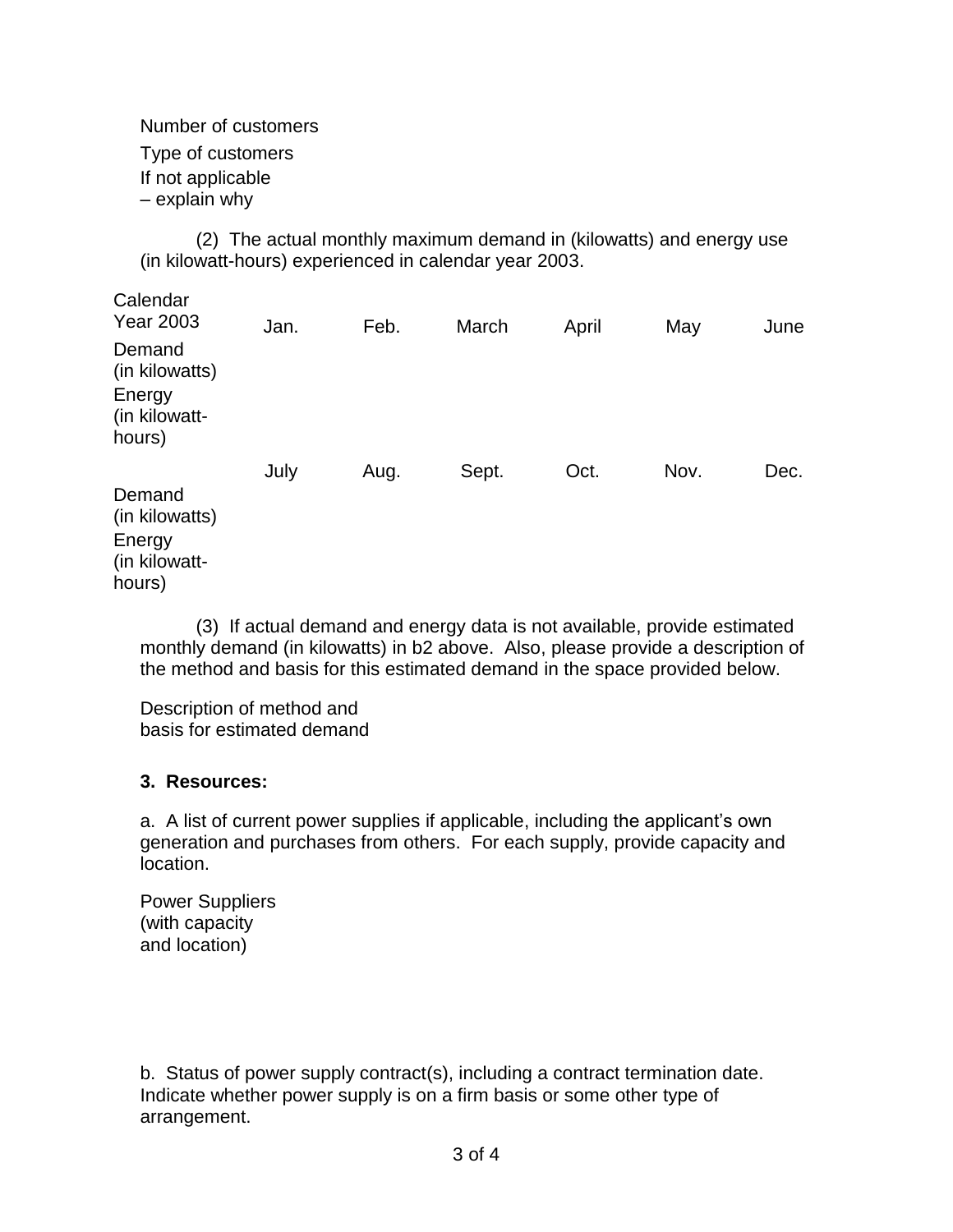Number of customers

Type of customers

If not applicable

– explain why

(2) The actual monthly maximum demand in (kilowatts) and energy use (in kilowatt-hours) experienced in calendar year 2003.

| Calendar<br><b>Year 2003</b>                                  | Jan. | Feb. | March | April | May  | June |
|---------------------------------------------------------------|------|------|-------|-------|------|------|
| Demand<br>(in kilowatts)<br>Energy<br>(in kilowatt-<br>hours) |      |      |       |       |      |      |
|                                                               | July | Aug. | Sept. | Oct.  | Nov. | Dec. |
| Demand<br>(in kilowatts)<br>Energy<br>(in kilowatt-<br>hours) |      |      |       |       |      |      |

(3) If actual demand and energy data is not available, provide estimated monthly demand (in kilowatts) in b2 above. Also, please provide a description of the method and basis for this estimated demand in the space provided below.

Description of method and basis for estimated demand

# **3. Resources:**

a. A list of current power supplies if applicable, including the applicant's own generation and purchases from others. For each supply, provide capacity and location.

Power Suppliers (with capacity and location)

b. Status of power supply contract(s), including a contract termination date. Indicate whether power supply is on a firm basis or some other type of arrangement.